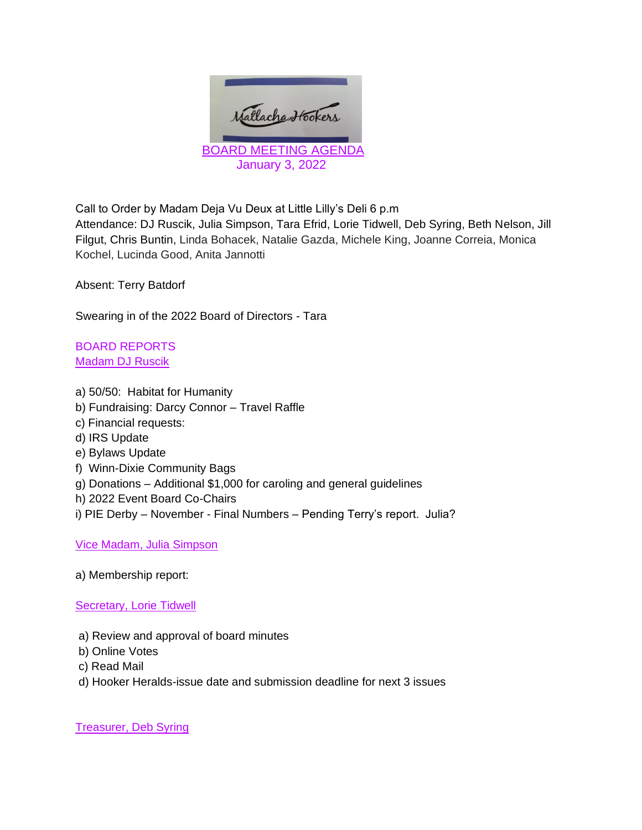

Call to Order by Madam Deja Vu Deux at Little Lilly's Deli 6 p.m

Attendance: DJ Ruscik, Julia Simpson, Tara Efrid, Lorie Tidwell, Deb Syring, Beth Nelson, Jill Filgut, Chris Buntin, Linda Bohacek, Natalie Gazda, Michele King, Joanne Correia, Monica Kochel, Lucinda Good, Anita Jannotti

Absent: Terry Batdorf

Swearing in of the 2022 Board of Directors - Tara

BOARD REPORTS Madam DJ Ruscik

- a) 50/50: Habitat for Humanity
- b) Fundraising: Darcy Connor Travel Raffle
- c) Financial requests:
- d) IRS Update
- e) Bylaws Update
- f) Winn-Dixie Community Bags
- g) Donations Additional \$1,000 for caroling and general guidelines
- h) 2022 Event Board Co-Chairs
- i) PIE Derby November Final Numbers Pending Terry's report. Julia?

Vice Madam, Julia Simpson

# a) Membership report:

# Secretary, Lorie Tidwell

- a) Review and approval of board minutes
- b) Online Votes
- c) Read Mail
- d) Hooker Heralds-issue date and submission deadline for next 3 issues

Treasurer, Deb Syring